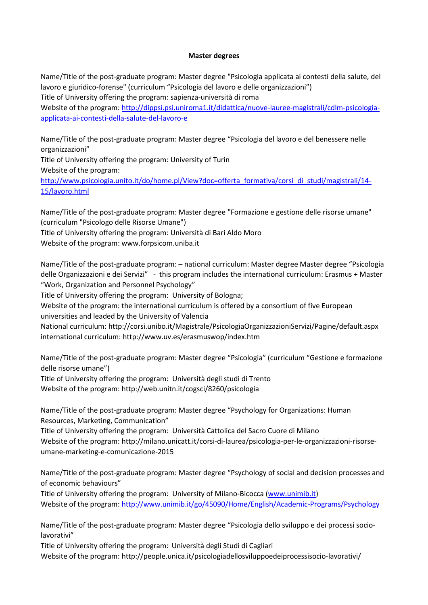## **Master degrees**

Name/Title of the post-graduate program: Master degree "Psicologia applicata ai contesti della salute, del lavoro e giuridico-forense" (curriculum "Psicologia del lavoro e delle organizzazioni") Title of University offering the program: sapienza-università di roma

Website of the program: [http://dippsi.psi.uniroma1.it/didattica/nuove-lauree-magistrali/cdlm-psicologia](http://dippsi.psi.uniroma1.it/didattica/nuove-lauree-magistrali/cdlm-psicologia-applicata-ai-contesti-della-salute-del-lavoro-e)[applicata-ai-contesti-della-salute-del-lavoro-e](http://dippsi.psi.uniroma1.it/didattica/nuove-lauree-magistrali/cdlm-psicologia-applicata-ai-contesti-della-salute-del-lavoro-e)

Name/Title of the post-graduate program: Master degree "Psicologia del lavoro e del benessere nelle organizzazioni"

Title of University offering the program: University of Turin Website of the program: [http://www.psicologia.unito.it/do/home.pl/View?doc=offerta\\_formativa/corsi\\_di\\_studi/magistrali/14-](http://www.psicologia.unito.it/do/home.pl/View?doc=offerta_formativa/corsi_di_studi/magistrali/14-15/lavoro.html) [15/lavoro.html](http://www.psicologia.unito.it/do/home.pl/View?doc=offerta_formativa/corsi_di_studi/magistrali/14-15/lavoro.html)

Name/Title of the post-graduate program: Master degree "Formazione e gestione delle risorse umane" (curriculum "Psicologo delle Risorse Umane") Title of University offering the program: Università di Bari Aldo Moro Website of the program: [www.forpsicom.uniba.it](http://www.forpsicom.uniba.it/)

Name/Title of the post-graduate program: – national curriculum: Master degree Master degree "Psicologia delle Organizzazioni e dei Servizi" - this program includes the international curriculum: Erasmus + Master "Work, Organization and Personnel Psychology"

Title of University offering the program: University of Bologna;

Website of the program: the international curriculum is offered by a consortium of five European

universities and leaded by the University of Valencia

National curriculum[: http://corsi.unibo.it/Magistrale/PsicologiaOrganizzazioniServizi/Pagine/default.aspx](http://corsi.unibo.it/Magistrale/PsicologiaOrganizzazioniServizi/Pagine/default.aspx) international curriculum[: http://www.uv.es/erasmuswop/index.htm](http://www.uv.es/erasmuswop/index.htm)

Name/Title of the post-graduate program: Master degree "Psicologia" (curriculum "Gestione e formazione delle risorse umane")

Title of University offering the program: Università degli studi di Trento Website of the program: <http://web.unitn.it/cogsci/8260/psicologia>

Name/Title of the post-graduate program: Master degree "Psychology for Organizations: Human Resources, Marketing, Communication"

Title of University offering the program: Università Cattolica del Sacro Cuore di Milano Website of the program: [http://milano.unicatt.it/corsi-di-laurea/psicologia-per-le-organizzazioni-risorse](http://milano.unicatt.it/corsi-di-laurea/psicologia-per-le-organizzazioni-risorse-umane-marketing-e-comunicazione-2015)[umane-marketing-e-comunicazione-2015](http://milano.unicatt.it/corsi-di-laurea/psicologia-per-le-organizzazioni-risorse-umane-marketing-e-comunicazione-2015)

Name/Title of the post-graduate program: Master degree "Psychology of social and decision processes and of economic behaviours"

Title of University offering the program: University of Milano-Bicocca [\(www.unimib.it\)](http://www.unimib.it/) Website of the program:<http://www.unimib.it/go/45090/Home/English/Academic-Programs/Psychology>

Name/Title of the post-graduate program: Master degree "Psicologia dello sviluppo e dei processi sociolavorativi"

Title of University offering the program: Università degli Studi di Cagliari Website of the program: <http://people.unica.it/psicologiadellosviluppoedeiprocessisocio-lavorativi/>